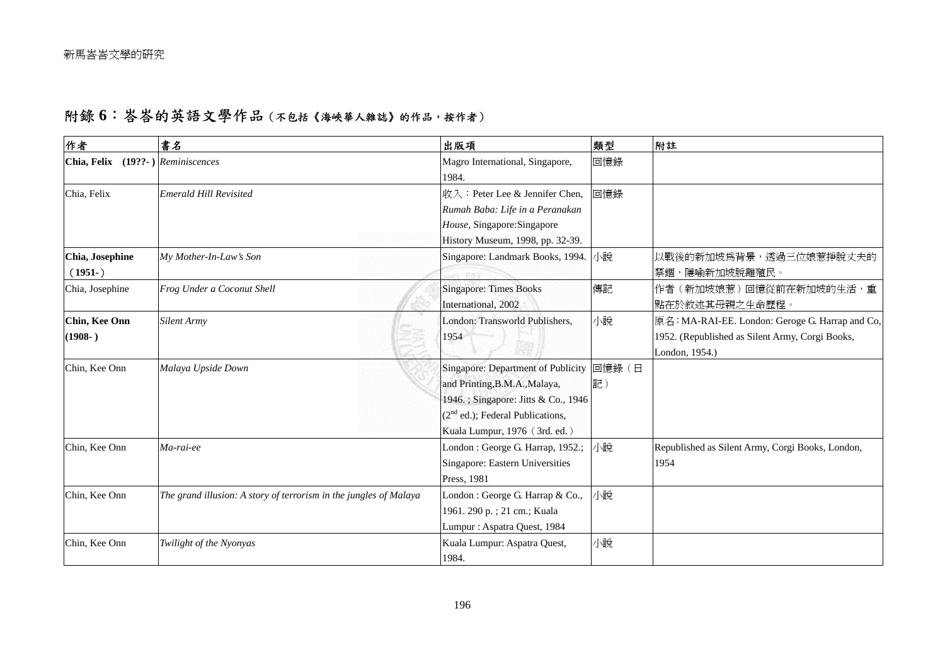## 附錄 6: 峇峇的英語文學作品 (不包括《海峽華人雜誌》的作品,按作者)

| 作者                                | 書名                                                                | 出版項                                       | 類型  | 附註                                               |
|-----------------------------------|-------------------------------------------------------------------|-------------------------------------------|-----|--------------------------------------------------|
| Chia, Felix (19??-) Reminiscences |                                                                   | Magro International, Singapore,<br>1984.  | 回憶錄 |                                                  |
| Chia, Felix                       | <b>Emerald Hill Revisited</b>                                     | 收入: Peter Lee & Jennifer Chen,            | 回憶錄 |                                                  |
|                                   |                                                                   | Rumah Baba: Life in a Peranakan           |     |                                                  |
|                                   |                                                                   | House, Singapore: Singapore               |     |                                                  |
|                                   |                                                                   | History Museum, 1998, pp. 32-39.          |     |                                                  |
| Chia, Josephine                   | My Mother-In-Law's Son                                            | Singapore: Landmark Books, 1994.          | 小說  | 以戰後的新加坡爲背景,透過三位娘惹掙脫丈夫的                           |
| $(1951-)$                         |                                                                   |                                           |     | 禁錮,隱喻新加坡脫離殖民。                                    |
| Chia, Josephine                   | Frog Under a Coconut Shell                                        | <b>Singapore: Times Books</b>             | 傳記  | 作者(新加坡娘惹)回憶從前在新加坡的生活,重                           |
|                                   |                                                                   | International, 2002                       |     | 點在於敘述其母親之生命歷程。                                   |
| Chin, Kee Onn                     | <b>Silent Army</b>                                                | London: Transworld Publishers,            | 小說  | 原名: MA-RAI-EE. London: Geroge G. Harrap and Co,  |
| $(1908-)$                         |                                                                   | 1954                                      |     | 1952. (Republished as Silent Army, Corgi Books,  |
|                                   |                                                                   |                                           |     | London, 1954.)                                   |
| Chin, Kee Onn                     | Malaya Upside Down                                                | Singapore: Department of Publicity 回憶錄 (日 |     |                                                  |
|                                   |                                                                   | and Printing, B.M.A., Malaya,             | 記)  |                                                  |
|                                   |                                                                   | 1946.; Singapore: Jitts & Co., 1946       |     |                                                  |
|                                   |                                                                   | $(2nd$ ed.); Federal Publications,        |     |                                                  |
|                                   |                                                                   | Kuala Lumpur, 1976 (3rd. ed.)             |     |                                                  |
| Chin, Kee Onn                     | Ma-rai-ee                                                         | London: George G. Harrap, 1952.;          | 小說  | Republished as Silent Army, Corgi Books, London, |
|                                   |                                                                   | Singapore: Eastern Universities           |     | 1954                                             |
|                                   |                                                                   | Press, 1981                               |     |                                                  |
| Chin, Kee Onn                     | The grand illusion: A story of terrorism in the jungles of Malaya | London : George G. Harrap & Co.,          | 小說  |                                                  |
|                                   |                                                                   | 1961. 290 p. ; 21 cm.; Kuala              |     |                                                  |
|                                   |                                                                   | Lumpur: Aspatra Quest, 1984               |     |                                                  |
| Chin, Kee Onn                     | Twilight of the Nyonyas                                           | Kuala Lumpur: Aspatra Quest,              | 小說  |                                                  |
|                                   |                                                                   | 1984.                                     |     |                                                  |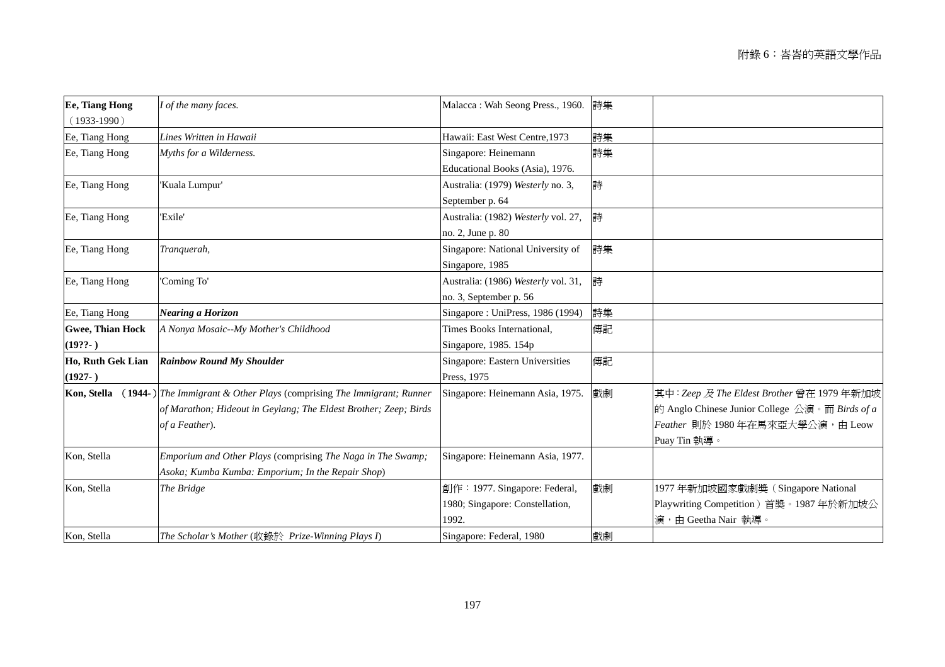| <b>Ee, Tiang Hong</b><br>$(1933-1990)$ | I of the many faces.                                                                                                                                        | Malacca: Wah Seong Press., 1960.                                          | 詩集 |                                                                                                                                                |
|----------------------------------------|-------------------------------------------------------------------------------------------------------------------------------------------------------------|---------------------------------------------------------------------------|----|------------------------------------------------------------------------------------------------------------------------------------------------|
| Ee, Tiang Hong                         | Lines Written in Hawaii                                                                                                                                     | Hawaii: East West Centre, 1973                                            | 詩集 |                                                                                                                                                |
| Ee, Tiang Hong                         | Myths for a Wilderness.                                                                                                                                     | Singapore: Heinemann<br>Educational Books (Asia), 1976.                   | 詩集 |                                                                                                                                                |
| Ee, Tiang Hong                         | 'Kuala Lumpur'                                                                                                                                              | Australia: (1979) Westerly no. 3,<br>September p. 64                      | 詩  |                                                                                                                                                |
| Ee, Tiang Hong                         | 'Exile'                                                                                                                                                     | Australia: (1982) Westerly vol. 27,<br>no. 2, June p. 80                  | 詩  |                                                                                                                                                |
| Ee, Tiang Hong                         | Tranquerah,                                                                                                                                                 | Singapore: National University of<br>Singapore, 1985                      | 詩集 |                                                                                                                                                |
| Ee, Tiang Hong                         | 'Coming To'                                                                                                                                                 | Australia: (1986) Westerly vol. 31,<br>no. 3, September p. 56             | 詩  |                                                                                                                                                |
| Ee, Tiang Hong                         | Nearing a Horizon                                                                                                                                           | Singapore: UniPress, 1986 (1994)                                          | 詩集 |                                                                                                                                                |
| <b>Gwee, Thian Hock</b><br>$(19??-)$   | A Nonya Mosaic--My Mother's Childhood                                                                                                                       | Times Books International,<br>Singapore, 1985. 154p                       | 傳記 |                                                                                                                                                |
| Ho, Ruth Gek Lian<br>$(1927-)$         | <b>Rainbow Round My Shoulder</b>                                                                                                                            | Singapore: Eastern Universities<br>Press, 1975                            | 傳記 |                                                                                                                                                |
| Kon, Stella                            | (1944-) The Immigrant & Other Plays (comprising The Immigrant; Runner<br>of Marathon; Hideout in Geylang; The Eldest Brother; Zeep; Birds<br>of a Feather). | Singapore: Heinemann Asia, 1975.                                          | 戲劇 | 其中: Zeep 及 The Eldest Brother 曾在 1979年新加坡<br>的 Anglo Chinese Junior College 公演。而 Birds of a<br>Feather 則於 1980年在馬來亞大學公演,由 Leow<br>Puay Tin 執導。 |
| Kon, Stella                            | Emporium and Other Plays (comprising The Naga in The Swamp;<br>Asoka; Kumba Kumba: Emporium; In the Repair Shop)                                            | Singapore: Heinemann Asia, 1977.                                          |    |                                                                                                                                                |
| Kon, Stella                            | The Bridge                                                                                                                                                  | 創作: 1977. Singapore: Federal,<br>1980; Singapore: Constellation,<br>1992. | 戲劇 | 1977年新加坡國家戲劇獎 (Singapore National<br>Playwriting Competition)首獎。1987年於新加坡公<br>演,由 Geetha Nair 執導。                                              |
| Kon, Stella                            | The Scholar's Mother (收錄於 Prize-Winning Plays I)                                                                                                            | Singapore: Federal, 1980                                                  | 戲劇 |                                                                                                                                                |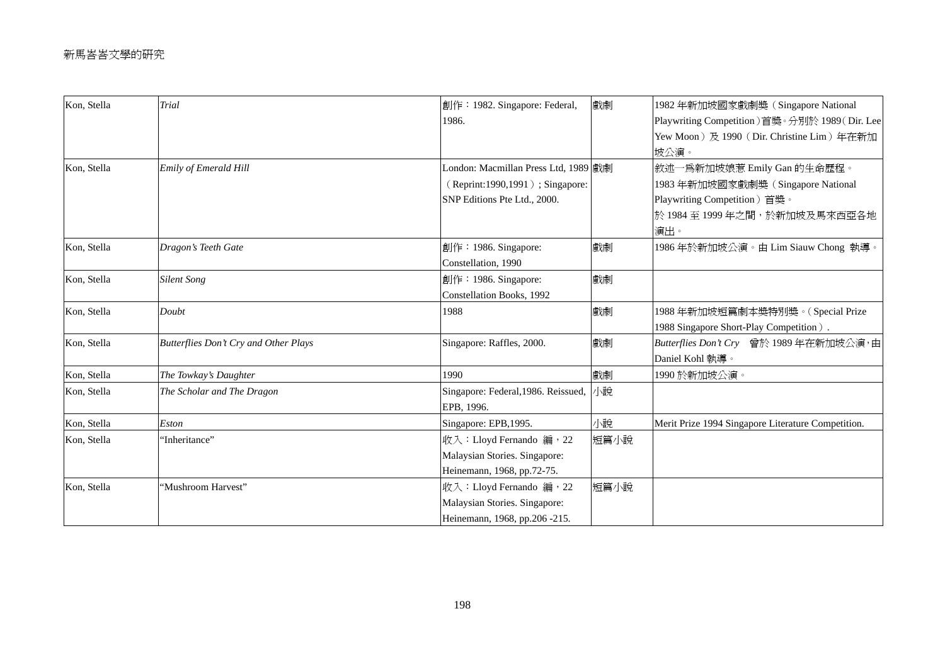| Kon, Stella | <b>Trial</b>                          | 創作: 1982. Singapore: Federal,                        | 戲劇   | 1982年新加坡國家戲劇獎 (Singapore National                  |
|-------------|---------------------------------------|------------------------------------------------------|------|----------------------------------------------------|
|             |                                       | 1986.                                                |      | Playwriting Competition)首獎。分別於 1989(Dir. Lee       |
|             |                                       |                                                      |      | Yew Moon) 及 1990 (Dir. Christine Lim) 年在新加         |
|             |                                       |                                                      |      | 坡公演。                                               |
| Kon, Stella | Emily of Emerald Hill                 | London: Macmillan Press Ltd, 1989 戲劇                 |      | 敘述一爲新加坡娘惹 Emily Gan 的生命歷程。                         |
|             |                                       | (Reprint:1990,1991); Singapore:                      |      | 1983年新加坡國家戲劇獎 (Singapore National                  |
|             |                                       | SNP Editions Pte Ltd., 2000.                         |      | Playwriting Competition)首獎。                        |
|             |                                       |                                                      |      | 於 1984至 1999年之間,於新加坡及馬來西亞各地                        |
|             |                                       |                                                      |      | 演出。                                                |
| Kon, Stella | Dragon's Teeth Gate                   | $\left  \hat{\mathbb{E}} \right $ = 1986. Singapore: | 戲劇   | 1986年於新加坡公演。由 Lim Siauw Chong 執導。                  |
|             |                                       | Constellation, 1990                                  |      |                                                    |
| Kon, Stella | <b>Silent Song</b>                    | 創作: 1986. Singapore:                                 | 戲劇   |                                                    |
|             |                                       | Constellation Books, 1992                            |      |                                                    |
| Kon, Stella | Doubt                                 | 1988                                                 | 戲劇   | 1988年新加坡短篇劇本獎特別獎。(Special Prize                    |
|             |                                       |                                                      |      | 1988 Singapore Short-Play Competition).            |
| Kon, Stella | Butterflies Don't Cry and Other Plays | Singapore: Raffles, 2000.                            | 戲劇   | Butterflies Don't Cry 曾於 1989年在新加坡公演,由             |
|             |                                       |                                                      |      | Daniel Kohl 執導。                                    |
| Kon, Stella | The Towkay's Daughter                 | 1990                                                 | 戲劇   | 1990於新加坡公演。                                        |
| Kon, Stella | The Scholar and The Dragon            | Singapore: Federal, 1986. Reissued, 小說               |      |                                                    |
|             |                                       | EPB, 1996.                                           |      |                                                    |
| Kon, Stella | Eston                                 | Singapore: EPB, 1995.                                | 小說   | Merit Prize 1994 Singapore Literature Competition. |
| Kon, Stella | 'Inheritance''                        | 收入: Lloyd Fernando 編, 22                             | 短篇小說 |                                                    |
|             |                                       | Malaysian Stories. Singapore:                        |      |                                                    |
|             |                                       | Heinemann, 1968, pp.72-75.                           |      |                                                    |
| Kon, Stella | 'Mushroom Harvest''                   | 收入: Lloyd Fernando 編, 22                             | 短篇小說 |                                                    |
|             |                                       | Malaysian Stories. Singapore:                        |      |                                                    |
|             |                                       | Heinemann, 1968, pp.206 -215.                        |      |                                                    |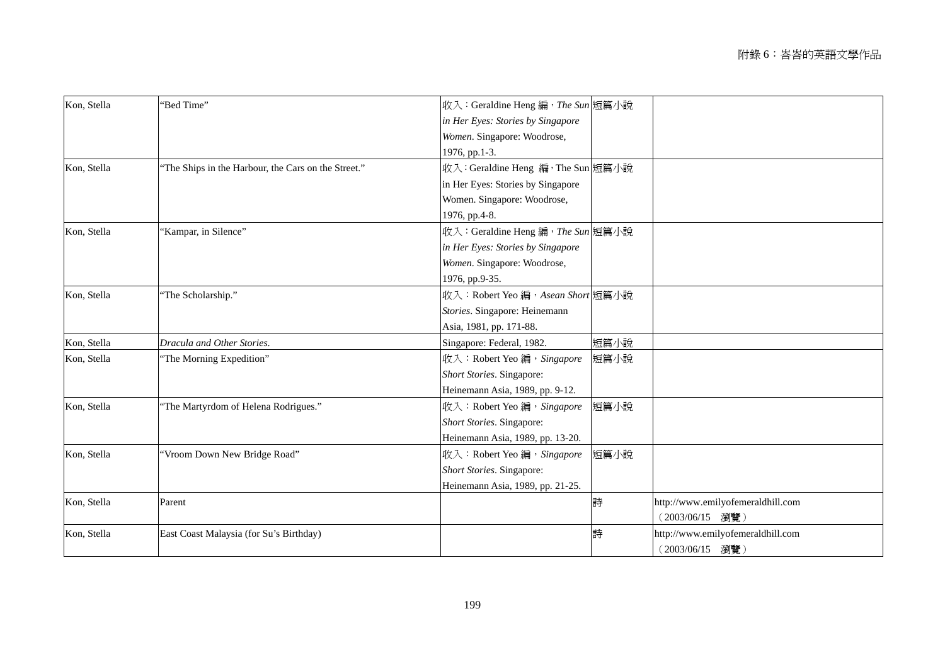| Kon, Stella | "Bed Time"                                          | 收入: Geraldine Heng 編, The Sun 短篇小說 |      |                                   |
|-------------|-----------------------------------------------------|------------------------------------|------|-----------------------------------|
|             |                                                     | in Her Eyes: Stories by Singapore  |      |                                   |
|             |                                                     | Women. Singapore: Woodrose,        |      |                                   |
|             |                                                     | 1976, pp.1-3.                      |      |                                   |
| Kon, Stella | 'The Ships in the Harbour, the Cars on the Street." | 收入: Geraldine Heng 編, The Sun 短篇小說 |      |                                   |
|             |                                                     | in Her Eyes: Stories by Singapore  |      |                                   |
|             |                                                     | Women. Singapore: Woodrose,        |      |                                   |
|             |                                                     | 1976, pp.4-8.                      |      |                                   |
| Kon, Stella | 'Kampar, in Silence"                                | 收入: Geraldine Heng 編, The Sun 短篇小說 |      |                                   |
|             |                                                     | in Her Eyes: Stories by Singapore  |      |                                   |
|             |                                                     | Women. Singapore: Woodrose,        |      |                                   |
|             |                                                     | 1976, pp.9-35.                     |      |                                   |
| Kon, Stella | 'The Scholarship."                                  | 收入: Robert Yeo 編, Asean Short 短篇小說 |      |                                   |
|             |                                                     | Stories. Singapore: Heinemann      |      |                                   |
|             |                                                     | Asia, 1981, pp. 171-88.            |      |                                   |
| Kon, Stella | Dracula and Other Stories.                          | Singapore: Federal, 1982.          | 短篇小說 |                                   |
| Kon, Stella | 'The Morning Expedition"                            | 收入: Robert Yeo 編, Singapore        | 短篇小說 |                                   |
|             |                                                     | Short Stories. Singapore:          |      |                                   |
|             |                                                     | Heinemann Asia, 1989, pp. 9-12.    |      |                                   |
| Kon, Stella | 'The Martyrdom of Helena Rodrigues."                | 收入: Robert Yeo 編, Singapore        | 短篇小說 |                                   |
|             |                                                     | Short Stories. Singapore:          |      |                                   |
|             |                                                     | Heinemann Asia, 1989, pp. 13-20.   |      |                                   |
| Kon, Stella | 'Vroom Down New Bridge Road"                        | 收入: Robert Yeo 編, Singapore        | 短篇小說 |                                   |
|             |                                                     | Short Stories. Singapore:          |      |                                   |
|             |                                                     | Heinemann Asia, 1989, pp. 21-25.   |      |                                   |
| Kon, Stella | Parent                                              | 詩                                  |      | http://www.emilyofemeraldhill.com |
|             |                                                     |                                    |      | (2003/06/15)<br>瀏覽)               |
| Kon, Stella | East Coast Malaysia (for Su's Birthday)             | 詩                                  |      | http://www.emilyofemeraldhill.com |
|             |                                                     |                                    |      | (2003/06/15)<br>瀏覽)               |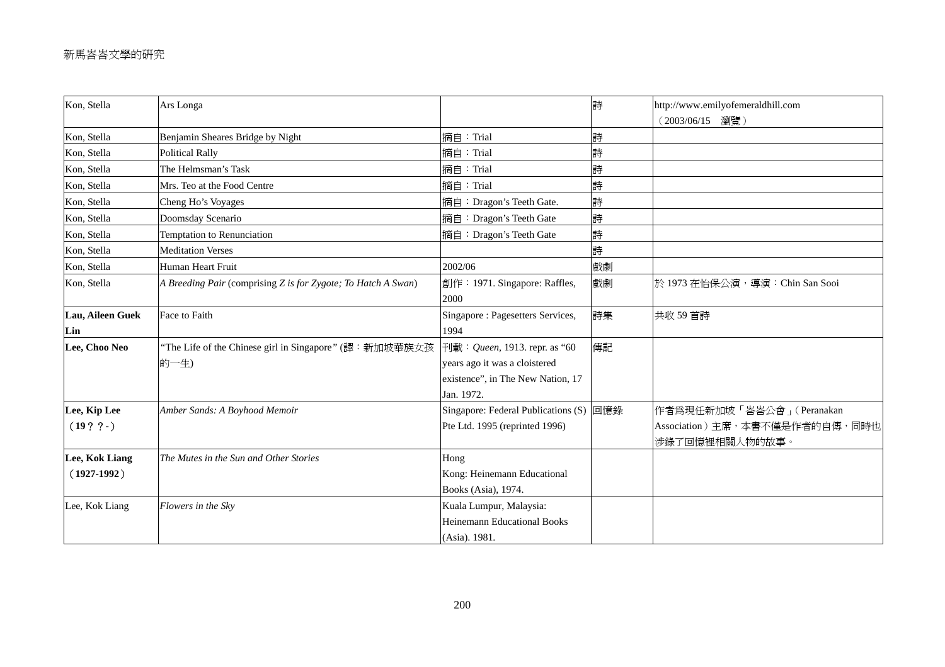| Kon, Stella                  | Ars Longa                                                       |                                                                                                                           | 詩  | http://www.emilyofemeraldhill.com<br>(2003/06/15 瀏覽)                           |
|------------------------------|-----------------------------------------------------------------|---------------------------------------------------------------------------------------------------------------------------|----|--------------------------------------------------------------------------------|
| Kon, Stella                  | Benjamin Sheares Bridge by Night                                | 摘自: Trial                                                                                                                 | 詩  |                                                                                |
| Kon, Stella                  | <b>Political Rally</b>                                          | 摘自:Trial                                                                                                                  | 詩  |                                                                                |
| Kon, Stella                  | The Helmsman's Task                                             | 摘自:Trial                                                                                                                  | 詩  |                                                                                |
| Kon, Stella                  | Mrs. Teo at the Food Centre                                     | 摘自:Trial                                                                                                                  | 詩  |                                                                                |
| Kon, Stella                  | Cheng Ho's Voyages                                              | 摘自: Dragon's Teeth Gate.                                                                                                  | 詩  |                                                                                |
| Kon, Stella                  | Doomsday Scenario                                               | 摘自: Dragon's Teeth Gate                                                                                                   | 詩  |                                                                                |
| Kon, Stella                  | Temptation to Renunciation                                      | 摘自: Dragon's Teeth Gate                                                                                                   | 詩  |                                                                                |
| Kon, Stella                  | <b>Meditation Verses</b>                                        |                                                                                                                           | 詩  |                                                                                |
| Kon, Stella                  | Human Heart Fruit                                               | 2002/06                                                                                                                   | 戲劇 |                                                                                |
| Kon, Stella                  | A Breeding Pair (comprising Z is for Zygote; To Hatch A Swan)   | 創作: 1971. Singapore: Raffles,<br>2000                                                                                     | 戲劇 | 於 1973 在怡保公演, 導演: Chin San Sooi                                                |
| Lau, Aileen Guek<br>Lin      | Face to Faith                                                   | Singapore : Pagesetters Services,<br>1994                                                                                 | 詩集 | 共收 59 首詩                                                                       |
| Lee, Choo Neo                | "The Life of the Chinese girl in Singapore" (譯: 新加坡華族女孩<br>的一生) | 刊載: <i>Queen</i> , 1913. repr. as "60<br>years ago it was a cloistered<br>existence", in The New Nation, 17<br>Jan. 1972. | 傳記 |                                                                                |
| Lee, Kip Lee<br>$(19? ? - )$ | Amber Sands: A Boyhood Memoir                                   | Singapore: Federal Publications (S) 回憶錄<br>Pte Ltd. 1995 (reprinted 1996)                                                 |    | 作者爲現任新加坡「峇峇公會」(Peranakan<br>Association) 主席, 本書不僅是作者的自傳, 同時也<br>涉錄了回憶裡相關人物的故事。 |
| Lee, Kok Liang               | The Mutes in the Sun and Other Stories                          | Hong                                                                                                                      |    |                                                                                |
| $(1927-1992)$                |                                                                 | Kong: Heinemann Educational<br>Books (Asia), 1974.                                                                        |    |                                                                                |
| Lee, Kok Liang               | Flowers in the Sky                                              | Kuala Lumpur, Malaysia:                                                                                                   |    |                                                                                |
|                              |                                                                 | <b>Heinemann Educational Books</b>                                                                                        |    |                                                                                |
|                              |                                                                 | (Asia). 1981.                                                                                                             |    |                                                                                |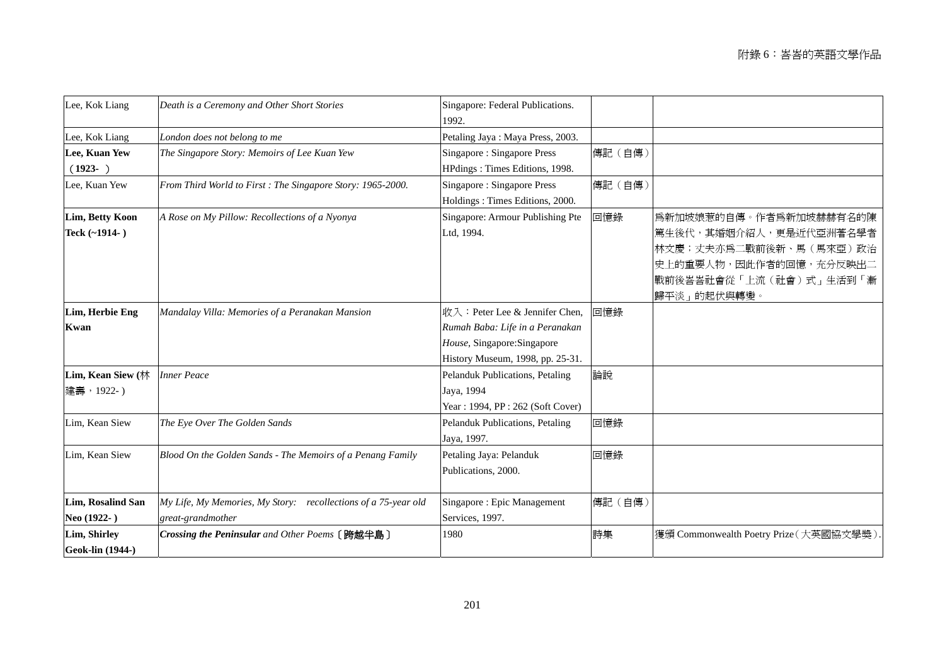| Lee, Kok Liang                   | Death is a Ceremony and Other Short Stories                                         | Singapore: Federal Publications.<br>1992.                                                                                            |         |                                                                                                                                                 |
|----------------------------------|-------------------------------------------------------------------------------------|--------------------------------------------------------------------------------------------------------------------------------------|---------|-------------------------------------------------------------------------------------------------------------------------------------------------|
| Lee, Kok Liang                   | London does not belong to me                                                        | Petaling Jaya: Maya Press, 2003.                                                                                                     |         |                                                                                                                                                 |
| Lee, Kuan Yew<br>$(1923- )$      | The Singapore Story: Memoirs of Lee Kuan Yew                                        | Singapore: Singapore Press<br>HPdings: Times Editions, 1998.                                                                         | 傳記 (自傳) |                                                                                                                                                 |
| Lee, Kuan Yew                    | From Third World to First: The Singapore Story: 1965-2000.                          | Singapore: Singapore Press<br>Holdings: Times Editions, 2000.                                                                        | 傳記 (自傳) |                                                                                                                                                 |
| Lim, Betty Koon<br>Teck (~1914-) | A Rose on My Pillow: Recollections of a Nyonya                                      | Singapore: Armour Publishing Pte<br>Ltd, 1994.                                                                                       | 回憶錄     | 爲新加坡娘惹的自傳。作者爲新加坡赫赫有名的陳<br> 篤生後代,其婚姻介紹人,更是近代亞洲著名學者 <br>林文慶;丈夫亦爲二戰前後新、馬(馬來亞)政治<br>史上的重要人物,因此作者的回憶,充分反映出二<br>戰前後峇峇社會從「上流(社會)式」生活到「漸<br>歸平淡」的起伏與轉變。 |
| Lim, Herbie Eng<br><b>Kwan</b>   | Mandalay Villa: Memories of a Peranakan Mansion                                     | 收入: Peter Lee & Jennifer Chen,<br>Rumah Baba: Life in a Peranakan<br>House, Singapore: Singapore<br>History Museum, 1998, pp. 25-31. | 回憶錄     |                                                                                                                                                 |
| Lim, Kean Siew (林<br>建壽, 1922-)  | <b>Inner Peace</b>                                                                  | Pelanduk Publications, Petaling<br>Jaya, 1994<br>Year: 1994, PP: 262 (Soft Cover)                                                    | 論說      |                                                                                                                                                 |
| Lim, Kean Siew                   | The Eye Over The Golden Sands                                                       | Pelanduk Publications, Petaling<br>Jaya, 1997.                                                                                       | 回憶錄     |                                                                                                                                                 |
| Lim, Kean Siew                   | Blood On the Golden Sands - The Memoirs of a Penang Family                          | Petaling Jaya: Pelanduk<br>Publications, 2000.                                                                                       | 回憶錄     |                                                                                                                                                 |
| Lim, Rosalind San<br>Neo (1922-) | My Life, My Memories, My Story: recollections of a 75-year old<br>great-grandmother | Singapore : Epic Management<br>Services, 1997.                                                                                       | 傳記 (自傳) |                                                                                                                                                 |
| Lim, Shirley<br>Geok-lin (1944-) | Crossing the Peninsular and Other Poems (跨越半島)                                      | 1980                                                                                                                                 | 詩集      | 獲頒 Commonwealth Poetry Prize (大英國協文學獎)                                                                                                          |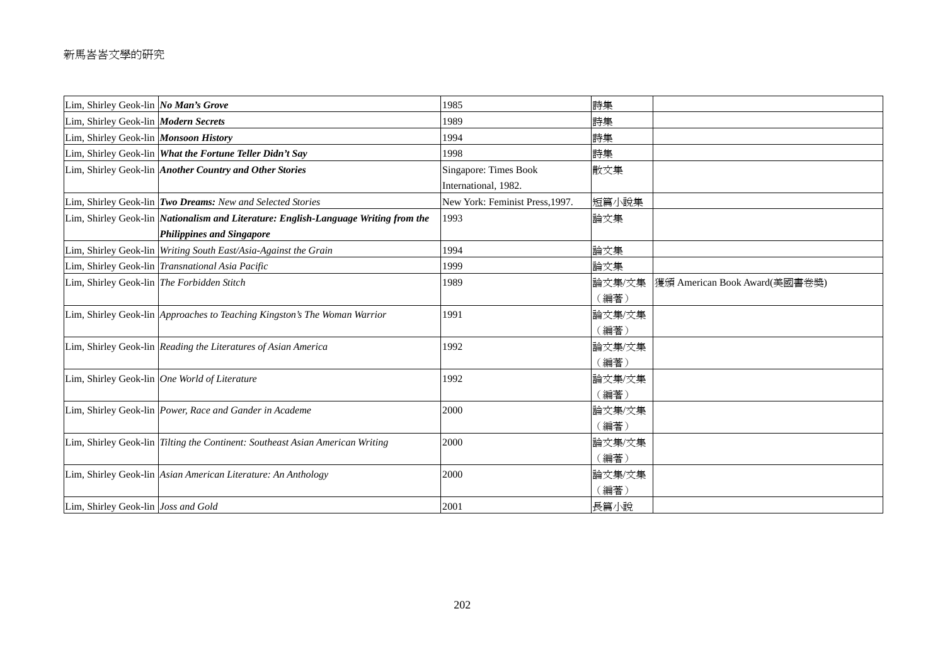## 新馬峇峇文學的研究

| Lim, Shirley Geok-lin No Man's Grove       |                                                                                            | 1985                            | 詩集     |                               |
|--------------------------------------------|--------------------------------------------------------------------------------------------|---------------------------------|--------|-------------------------------|
| Lim, Shirley Geok-lin Modern Secrets       |                                                                                            | 1989                            | 詩集     |                               |
| Lim, Shirley Geok-lin Monsoon History      |                                                                                            | 1994                            | 詩集     |                               |
|                                            | Lim, Shirley Geok-lin What the Fortune Teller Didn't Say                                   | 1998                            | 詩集     |                               |
|                                            | Lim, Shirley Geok-lin Another Country and Other Stories                                    | Singapore: Times Book           | 散文集    |                               |
|                                            |                                                                                            | International, 1982.            |        |                               |
|                                            | Lim, Shirley Geok-lin Two Dreams: New and Selected Stories                                 | New York: Feminist Press, 1997. | 短篇小說集  |                               |
|                                            | Lim, Shirley Geok-lin <i>Nationalism and Literature: English-Language Writing from the</i> | 1993                            | 論文集    |                               |
|                                            | <b>Philippines and Singapore</b>                                                           |                                 |        |                               |
|                                            | Lim, Shirley Geok-lin Writing South East/Asia-Against the Grain                            | 1994                            | 論文集    |                               |
|                                            | Lim, Shirley Geok-lin Transnational Asia Pacific                                           | 1999                            | 論文集    |                               |
| Lim, Shirley Geok-lin The Forbidden Stitch |                                                                                            | 1989                            | 論文集/文集 | 獲頒 American Book Award(美國書卷獎) |
|                                            |                                                                                            |                                 | (編著)   |                               |
|                                            | Lim, Shirley Geok-lin Approaches to Teaching Kingston's The Woman Warrior                  | 1991                            | 論文集/文集 |                               |
|                                            |                                                                                            |                                 | (編著)   |                               |
|                                            | Lim, Shirley Geok-lin Reading the Literatures of Asian America                             | 1992                            | 論文集/文集 |                               |
|                                            |                                                                                            |                                 | (編著)   |                               |
|                                            | Lim, Shirley Geok-lin One World of Literature                                              | 1992                            | 論文集/文集 |                               |
|                                            |                                                                                            |                                 | (編著)   |                               |
|                                            | Lim, Shirley Geok-lin Power, Race and Gander in Academe                                    | 2000                            | 論文集/文集 |                               |
|                                            |                                                                                            |                                 | (編著)   |                               |
|                                            | Lim, Shirley Geok-lin Tilting the Continent: Southeast Asian American Writing              | 2000                            | 論文集/文集 |                               |
|                                            |                                                                                            |                                 | (編著)   |                               |
|                                            | Lim, Shirley Geok-lin Asian American Literature: An Anthology                              | 2000                            | 論文集/文集 |                               |
|                                            |                                                                                            |                                 | (編著)   |                               |
| Lim, Shirley Geok-lin Joss and Gold        |                                                                                            | 2001                            | 長篇小說   |                               |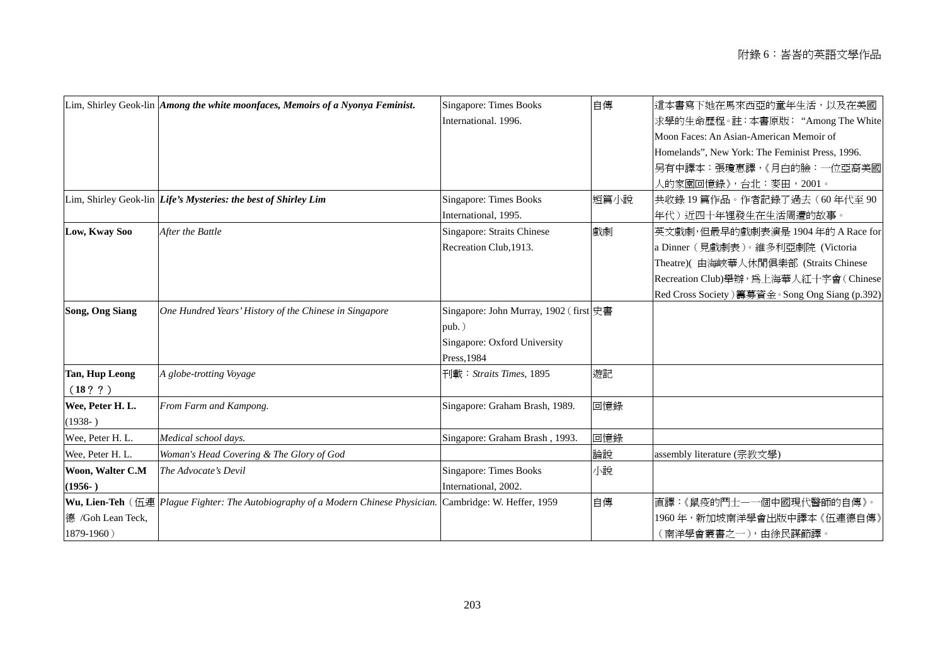|                        | Lim, Shirley Geok-lin <i>Among the white moonfaces</i> , <i>Memoirs of a Nyonya Feminist</i> .                     | <b>Singapore: Times Books</b>           | 自傳   | 這本書寫下她在馬來西亞的童年生活,以及在美國                          |
|------------------------|--------------------------------------------------------------------------------------------------------------------|-----------------------------------------|------|-------------------------------------------------|
|                        |                                                                                                                    | International. 1996.                    |      | 求學的生命歷程。註:本書原版:"Among The White                 |
|                        |                                                                                                                    |                                         |      | Moon Faces: An Asian-American Memoir of         |
|                        |                                                                                                                    |                                         |      | Homelands", New York: The Feminist Press, 1996. |
|                        |                                                                                                                    |                                         |      | 另有中譯本:張瓊惠譯,《月白的臉:一位亞裔美國                         |
|                        |                                                                                                                    |                                         |      | 人的家園回憶錄》,台北:麥田,2001。                            |
|                        | Lim, Shirley Geok-lin <i>Life's Mysteries: the best of Shirley Lim</i>                                             | <b>Singapore: Times Books</b>           | 短篇小說 | 共收錄 19 篇作品。作者記錄了過去(60 年代至 90                    |
|                        |                                                                                                                    | International, 1995.                    |      | 年代)近四十年裡發生在生活周遭的故事。                             |
| Low, Kway Soo          | After the Battle                                                                                                   | Singapore: Straits Chinese              | 戲劇   | 英文戲劇,但最早的戲劇表演是1904年的 A Race for                 |
|                        |                                                                                                                    | Recreation Club, 1913.                  |      | a Dinner (見戲劇表)。維多利亞劇院 (Victoria                |
|                        |                                                                                                                    |                                         |      | Theatre)( 由海峽華人休閒俱樂部 (Straits Chinese           |
|                        |                                                                                                                    |                                         |      | Recreation Club) 舉辦, 為上海華人紅十字會 (Chinese         |
|                        |                                                                                                                    |                                         |      | Red Cross Society) 籌募資金。Song Ong Siang (p.392)  |
| <b>Song, Ong Siang</b> | One Hundred Years' History of the Chinese in Singapore                                                             | Singapore: John Murray, 1902 (first 史書) |      |                                                 |
|                        |                                                                                                                    | $pub.$ )                                |      |                                                 |
|                        |                                                                                                                    | Singapore: Oxford University            |      |                                                 |
|                        |                                                                                                                    | Press, 1984                             |      |                                                 |
| <b>Tan, Hup Leong</b>  | A globe-trotting Voyage                                                                                            | 刊載: <i>Straits Times</i> , 1895         | 遊記   |                                                 |
| (18??)                 |                                                                                                                    |                                         |      |                                                 |
| Wee, Peter H. L.       | From Farm and Kampong.                                                                                             | Singapore: Graham Brash, 1989.          | 回憶錄  |                                                 |
| $(1938- )$             |                                                                                                                    |                                         |      |                                                 |
| Wee, Peter H. L.       | Medical school days.                                                                                               | Singapore: Graham Brash, 1993.          | 回憶錄  |                                                 |
| Wee, Peter H. L.       | Woman's Head Covering & The Glory of God                                                                           |                                         | 論說   | assembly literature (宗教文學)                      |
| Woon, Walter C.M       | The Advocate's Devil                                                                                               | <b>Singapore: Times Books</b>           | 小說   |                                                 |
| $(1956-)$              |                                                                                                                    | International, 2002.                    |      |                                                 |
|                        | <b>Wu, Lien-Teh</b> ( $\overline{H}$ ) $\equiv$ $Plague$ Fighter: The Autobiography of a Modern Chinese Physician. | Cambridge: W. Heffer, 1959              | 自傳   | 直譯:《鼠疫的鬥士一一個中國現代醫師的自傳》。                         |
| 德 /Goh Lean Teck,      |                                                                                                                    |                                         |      | 1960年, 新加坡南洋學會出版中譯本《伍連德自傳》                      |
| 1879-1960)             |                                                                                                                    |                                         |      | (南洋學會叢書之一), 由徐民謀節譯。                             |